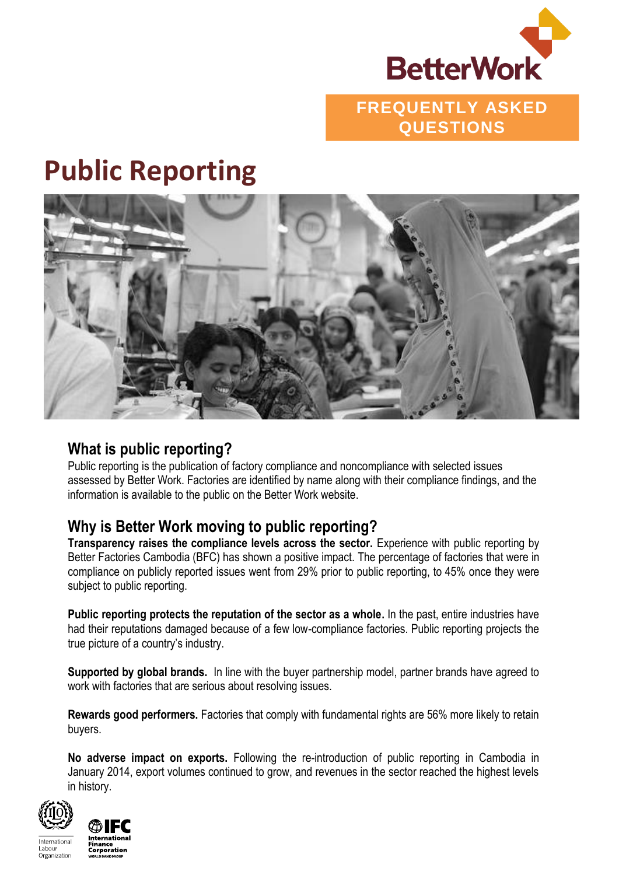

## **FREQUENTLY ASKED QUESTIONS**

# **Public Reporting**



#### **What is public reporting?**

Public reporting is the publication of factory compliance and noncompliance with selected issues assessed by Better Work. Factories are identified by name along with their compliance findings, and the information is available to the public on the Better Work website.

#### **Why is Better Work moving to public reporting?**

**Transparency raises the compliance levels across the sector.** Experience with public reporting by Better Factories Cambodia (BFC) has shown a positive impact. The percentage of factories that were in compliance on publicly reported issues went from 29% prior to public reporting, to 45% once they were subject to public reporting.

**Public reporting protects the reputation of the sector as a whole.** In the past, entire industries have had their reputations damaged because of a few low-compliance factories. Public reporting projects the true picture of a country's industry.

**Supported by global brands.** In line with the buyer partnership model, partner brands have agreed to work with factories that are serious about resolving issues.

**Rewards good performers.** Factories that comply with fundamental rights are 56% more likely to retain buyers.

**No adverse impact on exports.** Following the re-introduction of public reporting in Cambodia in January 2014, export volumes continued to grow, and revenues in the sector reached the highest levels in history.





International Organization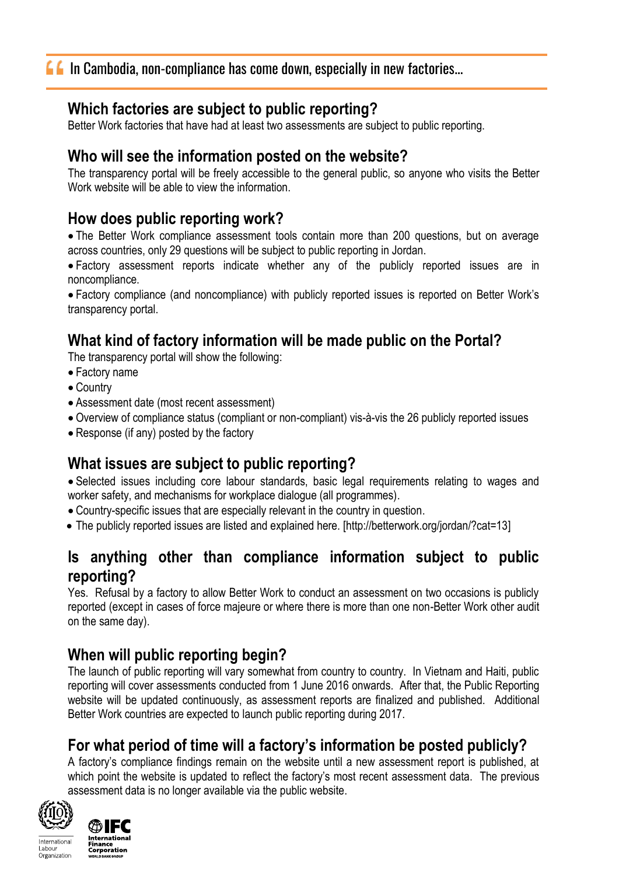#### **Which factories are subject to public reporting?**

Better Work factories that have had at least two assessments are subject to public reporting.

#### **Who will see the information posted on the website?**

The transparency portal will be freely accessible to the general public, so anyone who visits the Better Work website will be able to view the information.

#### **How does public reporting work?**

 The Better Work compliance assessment tools contain more than 200 questions, but on average across countries, only 29 questions will be subject to public reporting in Jordan.

 Factory assessment reports indicate whether any of the publicly reported issues are in noncompliance.

 Factory compliance (and noncompliance) with publicly reported issues is reported on Better Work's transparency portal.

# **What kind of factory information will be made public on the Portal?**

The transparency portal will show the following:

- Factory name
- Country
- Assessment date (most recent assessment)
- Overview of compliance status (compliant or non-compliant) vis-à-vis the 26 publicly reported issues
- Response (if any) posted by the factory

# **What issues are subject to public reporting?**

 Selected issues including core labour standards, basic legal requirements relating to wages and worker safety, and mechanisms for workplace dialogue (all programmes).

- Country-specific issues that are especially relevant in the country in question.
- The publicly reported issues are listed and explained here. [http://betterwork.org/jordan/?cat=13]

#### **Is anything other than compliance information subject to public reporting?**

Yes. Refusal by a factory to allow Better Work to conduct an assessment on two occasions is publicly reported (except in cases of force majeure or where there is more than one non-Better Work other audit on the same day).

## **When will public reporting begin?**

The launch of public reporting will vary somewhat from country to country. In Vietnam and Haiti, public reporting will cover assessments conducted from 1 June 2016 onwards. After that, the Public Reporting website will be updated continuously, as assessment reports are finalized and published. Additional Better Work countries are expected to launch public reporting during 2017.

## **For what period of time will a factory's information be posted publicly?**

A factory's compliance findings remain on the website until a new assessment report is published, at which point the website is updated to reflect the factory's most recent assessment data. The previous assessment data is no longer available via the public website.



International

Organization